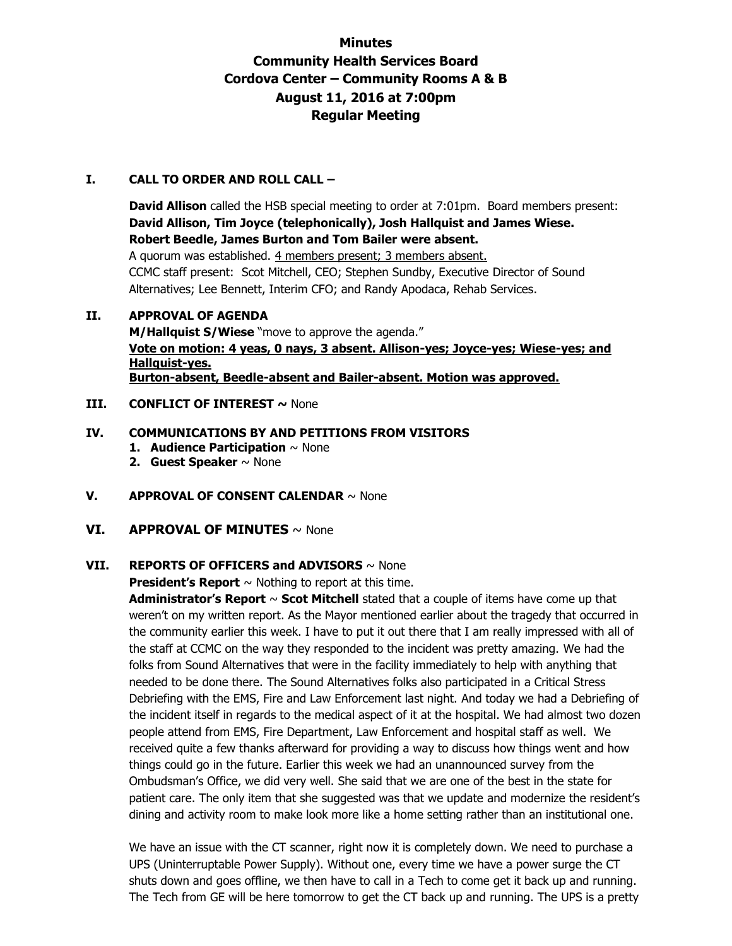# **Minutes Community Health Services Board Cordova Center – Community Rooms A & B August 11, 2016 at 7:00pm Regular Meeting**

## **I. CALL TO ORDER AND ROLL CALL –**

**David Allison** called the HSB special meeting to order at 7:01pm. Board members present: **David Allison, Tim Joyce (telephonically), Josh Hallquist and James Wiese. Robert Beedle, James Burton and Tom Bailer were absent.**  A quorum was established. 4 members present; 3 members absent. CCMC staff present: Scot Mitchell, CEO; Stephen Sundby, Executive Director of Sound Alternatives; Lee Bennett, Interim CFO; and Randy Apodaca, Rehab Services.

## **II. APPROVAL OF AGENDA**

**M/Hallquist S/Wiese** "move to approve the agenda." **Vote on motion: 4 yeas, 0 nays, 3 absent. Allison-yes; Joyce-yes; Wiese-yes; and Hallquist-yes. Burton-absent, Beedle-absent and Bailer-absent. Motion was approved.**

## **III. CONFLICT OF INTEREST ~ None**

# **IV. COMMUNICATIONS BY AND PETITIONS FROM VISITORS**

- **1. Audience Participation** ~ None
- **2. Guest Speaker** ~ None
- **V. APPROVAL OF CONSENT CALENDAR** ~ None
- **VI. APPROVAL OF MINUTES** ~ None

# **VII. REPORTS OF OFFICERS and ADVISORS** ~ None

**President's Report**  $\sim$  Nothing to report at this time.

**Administrator's Report** ~ **Scot Mitchell** stated that a couple of items have come up that weren't on my written report. As the Mayor mentioned earlier about the tragedy that occurred in the community earlier this week. I have to put it out there that I am really impressed with all of the staff at CCMC on the way they responded to the incident was pretty amazing. We had the folks from Sound Alternatives that were in the facility immediately to help with anything that needed to be done there. The Sound Alternatives folks also participated in a Critical Stress Debriefing with the EMS, Fire and Law Enforcement last night. And today we had a Debriefing of the incident itself in regards to the medical aspect of it at the hospital. We had almost two dozen people attend from EMS, Fire Department, Law Enforcement and hospital staff as well. We received quite a few thanks afterward for providing a way to discuss how things went and how things could go in the future. Earlier this week we had an unannounced survey from the Ombudsman's Office, we did very well. She said that we are one of the best in the state for patient care. The only item that she suggested was that we update and modernize the resident's dining and activity room to make look more like a home setting rather than an institutional one.

We have an issue with the CT scanner, right now it is completely down. We need to purchase a UPS (Uninterruptable Power Supply). Without one, every time we have a power surge the CT shuts down and goes offline, we then have to call in a Tech to come get it back up and running. The Tech from GE will be here tomorrow to get the CT back up and running. The UPS is a pretty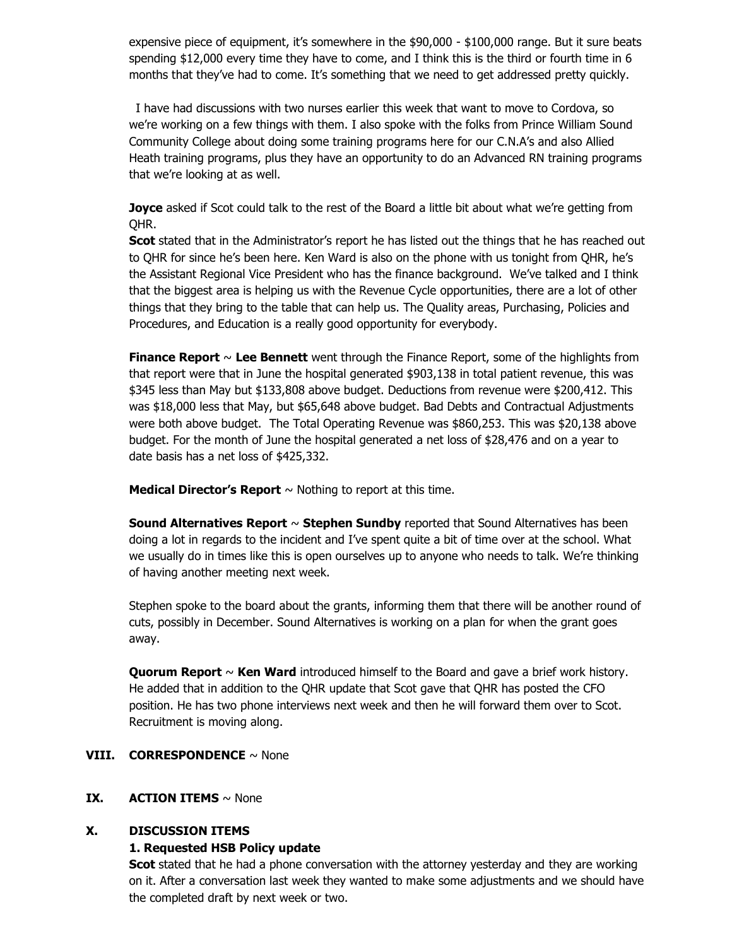expensive piece of equipment, it's somewhere in the \$90,000 - \$100,000 range. But it sure beats spending \$12,000 every time they have to come, and I think this is the third or fourth time in 6 months that they've had to come. It's something that we need to get addressed pretty quickly.

I have had discussions with two nurses earlier this week that want to move to Cordova, so we're working on a few things with them. I also spoke with the folks from Prince William Sound Community College about doing some training programs here for our C.N.A's and also Allied Heath training programs, plus they have an opportunity to do an Advanced RN training programs that we're looking at as well.

**Joyce** asked if Scot could talk to the rest of the Board a little bit about what we're getting from QHR.

**Scot** stated that in the Administrator's report he has listed out the things that he has reached out to QHR for since he's been here. Ken Ward is also on the phone with us tonight from QHR, he's the Assistant Regional Vice President who has the finance background. We've talked and I think that the biggest area is helping us with the Revenue Cycle opportunities, there are a lot of other things that they bring to the table that can help us. The Quality areas, Purchasing, Policies and Procedures, and Education is a really good opportunity for everybody.

**Finance Report** ~ **Lee Bennett** went through the Finance Report, some of the highlights from that report were that in June the hospital generated \$903,138 in total patient revenue, this was \$345 less than May but \$133,808 above budget. Deductions from revenue were \$200,412. This was \$18,000 less that May, but \$65,648 above budget. Bad Debts and Contractual Adjustments were both above budget. The Total Operating Revenue was \$860,253. This was \$20,138 above budget. For the month of June the hospital generated a net loss of \$28,476 and on a year to date basis has a net loss of \$425,332.

**Medical Director's Report**  $\sim$  Nothing to report at this time.

**Sound Alternatives Report** ~ **Stephen Sundby** reported that Sound Alternatives has been doing a lot in regards to the incident and I've spent quite a bit of time over at the school. What we usually do in times like this is open ourselves up to anyone who needs to talk. We're thinking of having another meeting next week.

Stephen spoke to the board about the grants, informing them that there will be another round of cuts, possibly in December. Sound Alternatives is working on a plan for when the grant goes away.

**Quorum Report** ~ **Ken Ward** introduced himself to the Board and gave a brief work history. He added that in addition to the QHR update that Scot gave that QHR has posted the CFO position. He has two phone interviews next week and then he will forward them over to Scot. Recruitment is moving along.

## **VIII. CORRESPONDENCE** ~ None

### **IX. ACTION ITEMS**  $\sim$  None

### **X. DISCUSSION ITEMS**

### **1. Requested HSB Policy update**

**Scot** stated that he had a phone conversation with the attorney yesterday and they are working on it. After a conversation last week they wanted to make some adjustments and we should have the completed draft by next week or two.